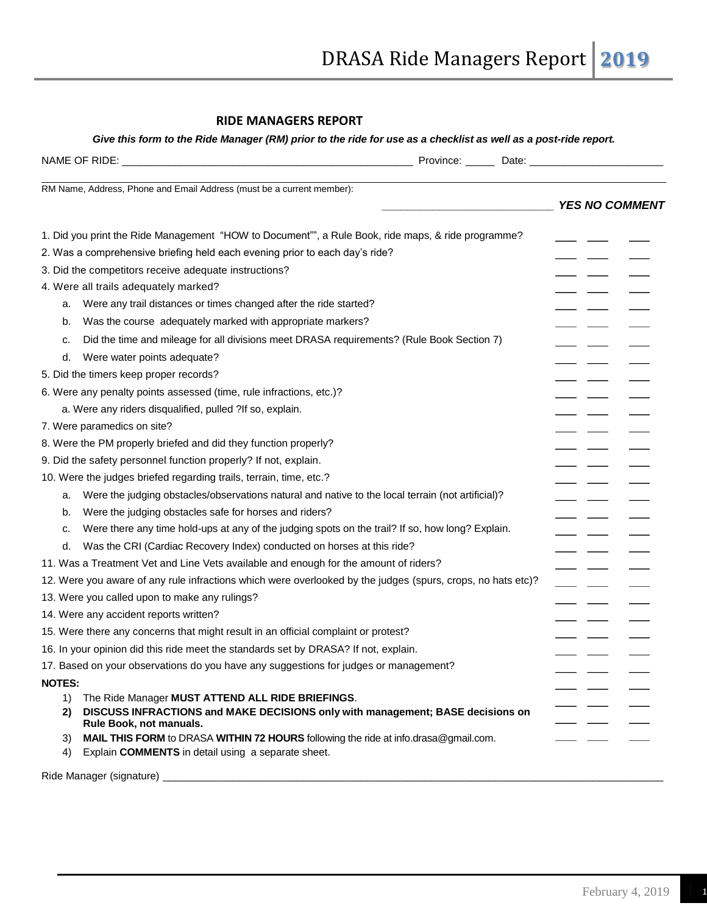## **RIDE MANAGERS REPORT**

## *Give this form to the Ride Manager (RM) prior to the ride for use as a checklist as well as a post-ride report.*

| RM Name, Address, Phone and Email Address (must be a current member):                |                                                                                                             | <b>YES NO COMMENT</b> |
|--------------------------------------------------------------------------------------|-------------------------------------------------------------------------------------------------------------|-----------------------|
|                                                                                      | 1. Did you print the Ride Management "HOW to Document"", a Rule Book, ride maps, & ride programme?          |                       |
| 2. Was a comprehensive briefing held each evening prior to each day's ride?          |                                                                                                             |                       |
| 3. Did the competitors receive adequate instructions?                                |                                                                                                             |                       |
| 4. Were all trails adequately marked?                                                |                                                                                                             |                       |
| Were any trail distances or times changed after the ride started?<br>a.              |                                                                                                             |                       |
| Was the course adequately marked with appropriate markers?<br>b.                     |                                                                                                             |                       |
| c.                                                                                   | Did the time and mileage for all divisions meet DRASA requirements? (Rule Book Section 7)                   |                       |
| Were water points adequate?<br>d.                                                    |                                                                                                             |                       |
| 5. Did the timers keep proper records?                                               |                                                                                                             |                       |
| 6. Were any penalty points assessed (time, rule infractions, etc.)?                  |                                                                                                             |                       |
| a. Were any riders disqualified, pulled ?If so, explain.                             |                                                                                                             |                       |
| 7. Were paramedics on site?                                                          |                                                                                                             |                       |
| 8. Were the PM properly briefed and did they function properly?                      |                                                                                                             |                       |
| 9. Did the safety personnel function properly? If not, explain.                      |                                                                                                             |                       |
| 10. Were the judges briefed regarding trails, terrain, time, etc.?                   |                                                                                                             |                       |
| a.                                                                                   | Were the judging obstacles/observations natural and native to the local terrain (not artificial)?           |                       |
| Were the judging obstacles safe for horses and riders?<br>b.                         |                                                                                                             |                       |
| c.                                                                                   | Were there any time hold-ups at any of the judging spots on the trail? If so, how long? Explain.            |                       |
| Was the CRI (Cardiac Recovery Index) conducted on horses at this ride?<br>d.         |                                                                                                             |                       |
| 11. Was a Treatment Vet and Line Vets available and enough for the amount of riders? |                                                                                                             |                       |
|                                                                                      | 12. Were you aware of any rule infractions which were overlooked by the judges (spurs, crops, no hats etc)? |                       |
| 13. Were you called upon to make any rulings?                                        |                                                                                                             |                       |
| 14. Were any accident reports written?                                               |                                                                                                             |                       |
| 15. Were there any concerns that might result in an official complaint or protest?   |                                                                                                             |                       |
| 16. In your opinion did this ride meet the standards set by DRASA? If not, explain.  |                                                                                                             |                       |
| 17. Based on your observations do you have any suggestions for judges or management? |                                                                                                             |                       |
| <b>NOTES:</b>                                                                        |                                                                                                             |                       |
| The Ride Manager MUST ATTEND ALL RIDE BRIEFINGS.<br>1)                               |                                                                                                             |                       |
| 2)<br>Rule Book, not manuals.                                                        | DISCUSS INFRACTIONS and MAKE DECISIONS only with management; BASE decisions on                              |                       |
| 3)<br>Explain COMMENTS in detail using a separate sheet.<br>4)                       | MAIL THIS FORM to DRASA WITHIN 72 HOURS following the ride at info.drasa@gmail.com.                         |                       |

Ride Manager (signature) \_\_\_\_\_\_\_\_\_\_\_\_\_\_\_\_\_\_\_\_\_\_\_\_\_\_\_\_\_\_\_\_\_\_\_\_\_\_\_\_\_\_\_\_\_\_\_\_\_\_\_\_\_\_\_\_\_\_\_\_\_\_\_\_\_\_\_\_\_\_\_\_\_\_\_\_\_\_\_\_\_\_\_\_\_\_